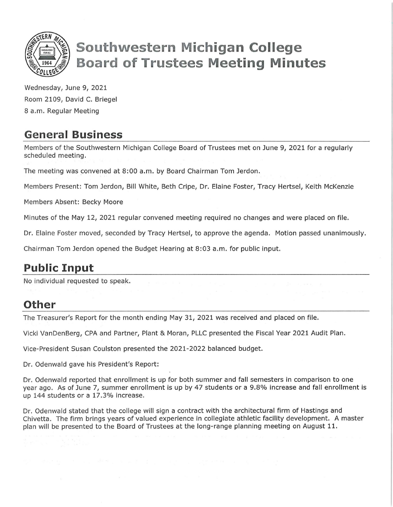

# **Southwestern Michigan College Board of rustees Meeting Minutes**

Wednesday, June 9, 2021 Room 2109, David C. Briegel 8 a.m. Regular Meeting

### **General Business**

Members of the Southwestern Michigan College Board of Trustees met on June 9, 2021 for a regularly scheduled meeting.

The meeting was convened at 8:00 a.m. by Board Chairman Tom Jerdon.

Members Present: Tom Jerdon, Bill White, Beth Cripe, Dr. Elaine Foster, Tracy Hertsel, Keith McKenzie

Members Absent: Becky Moore

Minutes of the May 12, 2021 regular convened meeting required no changes and were placed on file.

Dr. Elaine Foster moved, seconded by Tracy Hertsel, to approve the agenda. Motion passed unanimously.

Chairman Tom Jerdon opened the Budget Hearing at 8:03 a.m. for public input.

# **Public Input**

No individual requested to speak.

#### **Other**

The Treasurer's Report for the month ending May 31, 2021 was received and placed on file.

Vicki VanDenBerg, CPA and Partner, Plant & Moran, PLLC presented the Fiscal Year 2021 Audit Plan.

Vice-President Susan Coulston presented the 2021-2022 balanced budget.

Dr. Odenwald gave his President's Report:

Dr. Odenwald reported that enrollment is up for both summer and fall semesters in comparison to one year ago. As of June 7, summer enrollment is up by 47 students or a 9.8% increase and fall enrollment is up 144 students or a 17.3% increase.

Dr. Odenwald stated that the college will sign a contract with the architectural firm of Hastings and Chivetta. The firm brings years of valued experience in collegiate athletic facility development. A master plan will be presented to the Board of Trustees at the long-range planning meeting on August 11.